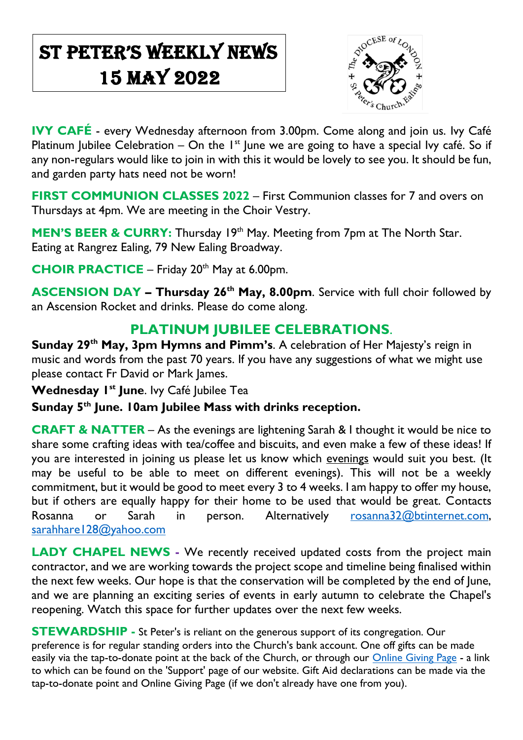# St Peter's Weekly NeWs 15 May 2022

 $\overline{\phantom{a}}$ 



**IVY CAFÉ** - every Wednesday afternoon from 3.00pm. Come along and join us. Ivy Café Platinum Jubilee Celebration – On the  $I<sup>st</sup>$  June we are going to have a special Ivy café. So if any non-regulars would like to join in with this it would be lovely to see you. It should be fun, and garden party hats need not be worn!

**FIRST COMMUNION CLASSES 2022 – First Communion classes for 7 and overs on** Thursdays at 4pm. We are meeting in the Choir Vestry.

**MEN'S BEER & CURRY:** Thursday 19<sup>th</sup> May. Meeting from 7pm at The North Star. Eating at Rangrez Ealing, 79 New Ealing Broadway.

**CHOIR PRACTICE** – Friday 20<sup>th</sup> May at 6.00pm.

**ASCENSION DAY – Thursday 26th May, 8.00pm**. Service with full choir followed by an Ascension Rocket and drinks. Please do come along.

### **PLATINUM JUBILEE CELEBRATIONS**.

**Sunday 29th May, 3pm Hymns and Pimm's**. A celebration of Her Majesty's reign in music and words from the past 70 years. If you have any suggestions of what we might use please contact Fr David or Mark James.

**Wednesday 1st June**. Ivy Café Jubilee Tea

**Sunday 5th June. 10am Jubilee Mass with drinks reception.**

**CRAFT & NATTER** – As the evenings are lightening Sarah & I thought it would be nice to share some crafting ideas with tea/coffee and biscuits, and even make a few of these ideas! If you are interested in joining us please let us know which evenings would suit you best. (It may be useful to be able to meet on different evenings). This will not be a weekly commitment, but it would be good to meet every 3 to 4 weeks. I am happy to offer my house, but if others are equally happy for their home to be used that would be great. Contacts Rosanna or Sarah in person. Alternatively [rosanna32@btinternet.com,](mailto:rosanna32@btinternet.com) [sarahhare128@yahoo.com](mailto:sarahhare128@yahoo.com)

**LADY CHAPEL NEWS -** We recently received updated costs from the project main contractor, and we are working towards the project scope and timeline being finalised within the next few weeks. Our hope is that the conservation will be completed by the end of June, and we are planning an exciting series of events in early autumn to celebrate the Chapel's reopening. Watch this space for further updates over the next few weeks.

**STEWARDSHIP -** St Peter's is reliant on the generous support of its congregation. Our preference is for regular standing orders into the Church's bank account. One off gifts can be made easily via the tap-to-donate point at the back of the Church, or through our [Online Giving Page](https://donate.mydona.com/st-peters-ealing) - a link to which can be found on the 'Support' page of our website. Gift Aid declarations can be made via the tap-to-donate point and Online Giving Page (if we don't already have one from you).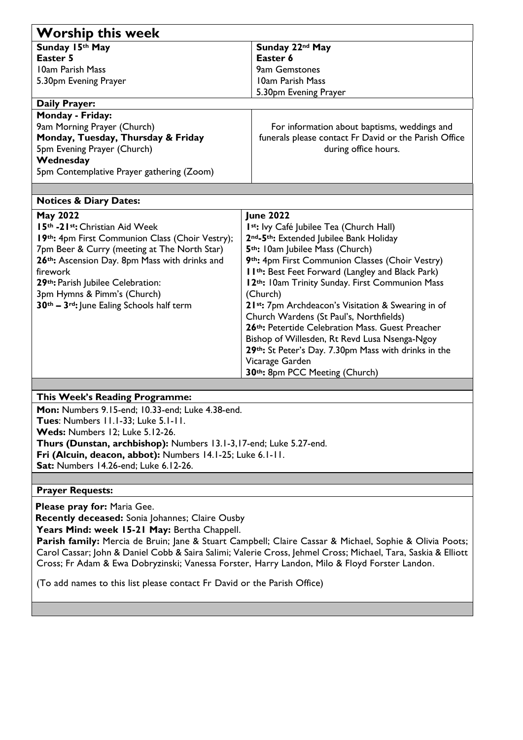| <b>Worship this week</b>                                       |  |
|----------------------------------------------------------------|--|
| Sunday 22nd May                                                |  |
| Easter 6                                                       |  |
| 9am Gemstones                                                  |  |
| 10am Parish Mass                                               |  |
| 5.30pm Evening Prayer                                          |  |
| <b>Daily Prayer:</b>                                           |  |
|                                                                |  |
| For information about baptisms, weddings and                   |  |
| funerals please contact Fr David or the Parish Office          |  |
| during office hours.                                           |  |
|                                                                |  |
|                                                                |  |
|                                                                |  |
| <b>Notices &amp; Diary Dates:</b>                              |  |
| <b>June 2022</b>                                               |  |
| I <sup>st</sup> : Ivy Café Jubilee Tea (Church Hall)           |  |
| 2nd-5th: Extended Jubilee Bank Holiday                         |  |
| 5 <sup>th</sup> : I0am Jubilee Mass (Church)                   |  |
| 9th: 4pm First Communion Classes (Choir Vestry)                |  |
| I I <sup>th</sup> : Best Feet Forward (Langley and Black Park) |  |
| 12th: I Oam Trinity Sunday. First Communion Mass               |  |
| (Church)                                                       |  |
| 21st: 7pm Archdeacon's Visitation & Swearing in of             |  |
| Church Wardens (St Paul's, Northfields)                        |  |
| 26th: Petertide Celebration Mass. Guest Preacher               |  |
| Bishop of Willesden, Rt Revd Lusa Nsenga-Ngoy                  |  |
| 29th: St Peter's Day. 7.30pm Mass with drinks in the           |  |
| Vicarage Garden                                                |  |
| 30th: 8pm PCC Meeting (Church)                                 |  |
|                                                                |  |

#### **This Week's Reading Programme:**

**Mon:** Numbers 9.15-end; 10.33-end; Luke 4.38-end. **Tues**: Numbers 11.1-33; Luke 5.1-11. **Weds:** Numbers 12; Luke 5.12-26. **Thurs (Dunstan, archbishop):** Numbers 13.1-3,17-end; Luke 5.27-end. **Fri (Alcuin, deacon, abbot):** Numbers 14.1-25; Luke 6.1-11. **Sat:** Numbers 14.26-end; Luke 6.12-26.

#### **Prayer Requests:**

**Please pray for:** Maria Gee.

**Recently deceased:** Sonia Johannes; Claire Ousby

**Years Mind: week 15-21 May:** Bertha Chappell.

Parish family: Mercia de Bruin; Jane & Stuart Campbell; Claire Cassar & Michael, Sophie & Olivia Poots; Carol Cassar; John & Daniel Cobb & Saira Salimi; Valerie Cross, Jehmel Cross; Michael, Tara, Saskia & Elliott Cross; Fr Adam & Ewa Dobryzinski; Vanessa Forster, Harry Landon, Milo & Floyd Forster Landon.

(To add names to this list please contact Fr David or the Parish Office)